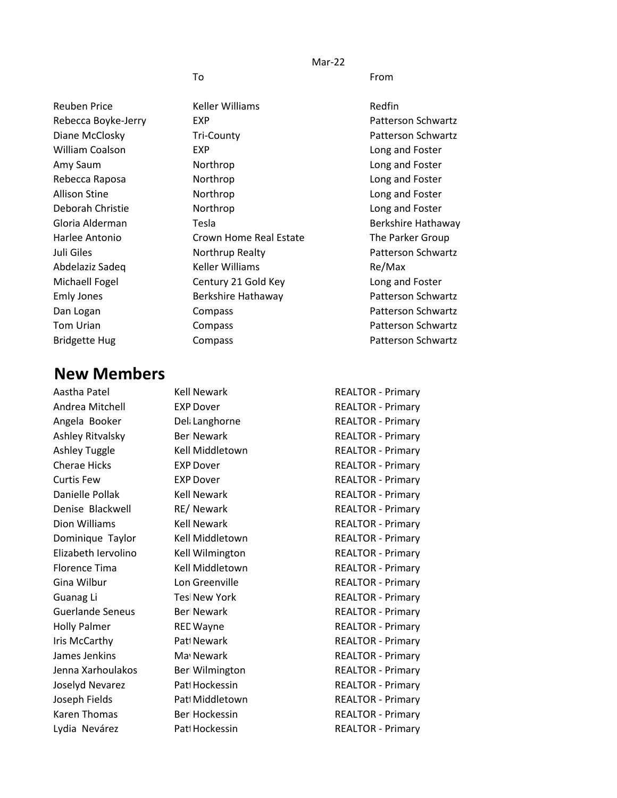Mar-22

To **From** 

Reuben Price **Keller Williams** Redfin William Coalson **EXP** EXP **Long and Foster** Amy Saum **Northrop Long and Foster Long and Foster** Rebecca Raposa **Northrop Rebecca Raposa Northrop Long and Foster** Allison Stine **Northrop Long and Foster Long and Foster** Deborah Christie Northrop Long and Foster Harlee Antonio **Crown Home Real Estate** The Parker Group Abdelaziz Sadeq Keller Williams Re/Max Michaell Fogel **Century 21 Gold Key Long and Foster** 

## **New Members**

Aastha Patel **Kell Newark** Andrea Mitchell **EXP Dover** Angela Booker Dellanghorne Ashley Ritvalsky Berl Newark Ashley Tuggle Kell Middletown Cherae Hicks EXP Dover Curtis Few EXP Dover Danielle Pollak Kell Newark Denise Blackwell RE/Newark Dion Williams Kell Newark Dominique Taylor Kell Middletown Elizabeth Iervolino Kell Wilmington Florence Tima Kell Middletown Gina Wilbur **Long Creenville** Guanag Li Tesl New York Guerlande Seneus Berl Newark Holly Palmer REC Wayne Iris McCarthy Patt Newark James Jenkins May Newark Jenna Xarhoulakos - Berl Wilmington Joselyd Nevarez Patt Hockessin Joseph Fields Patt Middletown Karen Thomas Berl Hockessin Lydia Nevárez **Patt Hockessin** Patterso Hockessin REALTOR - Primary

Rebecca Boyke-Jerry **EXP** EXP **Patterson Schwartz** Diane McClosky Tri-County Patterson Schwartz Gloria Alderman Tesla Berkshire Hathaway Juli Giles **Northrup Realty Northrup Realty Patterson Schwartz** Emly Jones Berkshire Hathaway Patterson Schwartz Dan Logan **Compass** Compass **Patterson Schwartz** Tom Urian **Compass** Compass **Patterson Schwartz** Bridgette Hug Compass Compass Patterson Schwartz

| REALTOR - Primary        |
|--------------------------|
| <b>REALTOR - Primary</b> |
| <b>REALTOR - Primary</b> |
| <b>REALTOR - Primary</b> |
| <b>REALTOR - Primary</b> |
| <b>REALTOR - Primary</b> |
| <b>REALTOR - Primary</b> |
| <b>REALTOR - Primary</b> |
| <b>REALTOR - Primary</b> |
| <b>REALTOR - Primary</b> |
| <b>REALTOR - Primary</b> |
| <b>REALTOR - Primary</b> |
| <b>REALTOR - Primary</b> |
| <b>REALTOR - Primary</b> |
| <b>REALTOR - Primary</b> |
| <b>REALTOR - Primary</b> |
| <b>REALTOR - Primary</b> |
| <b>REALTOR - Primary</b> |
| <b>REALTOR - Primary</b> |
| <b>REALTOR - Primary</b> |
| <b>REALTOR - Primary</b> |
| <b>REALTOR - Primary</b> |
| <b>REALTOR - Primary</b> |
| RFALTOR - Primary        |